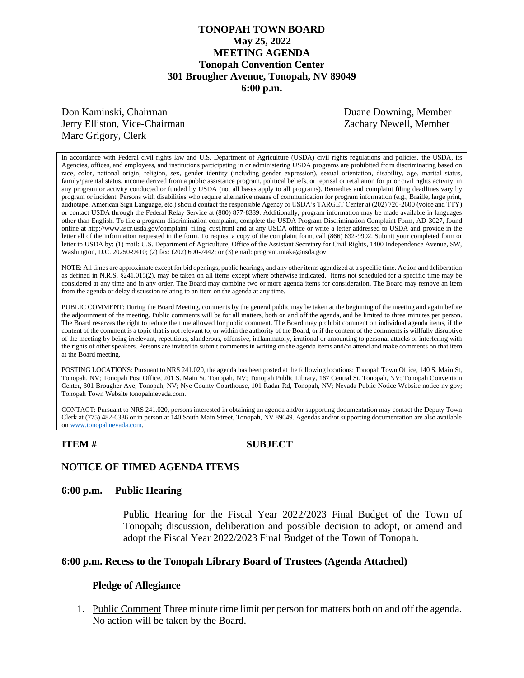# **TONOPAH TOWN BOARD May 25, 2022 MEETING AGENDA Tonopah Convention Center 301 Brougher Avenue, Tonopah, NV 89049 6:00 p.m.**

Don Kaminski, Chairman Duane Downing, Member Jerry Elliston, Vice-Chairman Zachary Newell, Member Marc Grigory, Clerk

In accordance with Federal civil rights law and U.S. Department of Agriculture (USDA) civil rights regulations and policies, the USDA, its Agencies, offices, and employees, and institutions participating in or administering USDA programs are prohibited from discriminating based on race, color, national origin, religion, sex, gender identity (including gender expression), sexual orientation, disability, age, marital status, family/parental status, income derived from a public assistance program, political beliefs, or reprisal or retaliation for prior civil rights activity, in any program or activity conducted or funded by USDA (not all bases apply to all programs). Remedies and complaint filing deadlines vary by program or incident. Persons with disabilities who require alternative means of communication for program information (e.g., Braille, large print, audiotape, American Sign Language, etc.) should contact the responsible Agency or USDA's TARGET Center at (202) 720-2600 (voice and TTY) or contact USDA through the Federal Relay Service at (800) 877-8339. Additionally, program information may be made available in languages other than English. To file a program discrimination complaint, complete the USDA Program Discrimination Complaint Form, AD-3027, found online at http://www.ascr.usda.gov/complaint\_filing\_cust.html and at any USDA office or write a letter addressed to USDA and provide in the letter all of the information requested in the form. To request a copy of the complaint form, call (866) 632-9992. Submit your completed form or letter to USDA by: (1) mail: U.S. Department of Agriculture, Office of the Assistant Secretary for Civil Rights, 1400 Independence Avenue, SW, Washington, D.C. 20250-9410; (2) fax: (202) 690-7442; or (3) email: program.intake@usda.gov.

NOTE: All times are approximate except for bid openings, public hearings, and any other items agendized at a specific time. Action and deliberation as defined in N.R.S. §241.015(2), may be taken on all items except where otherwise indicated. Items not scheduled for a specific time may be considered at any time and in any order. The Board may combine two or more agenda items for consideration. The Board may remove an item from the agenda or delay discussion relating to an item on the agenda at any time.

PUBLIC COMMENT: During the Board Meeting, comments by the general public may be taken at the beginning of the meeting and again before the adjournment of the meeting. Public comments will be for all matters, both on and off the agenda, and be limited to three minutes per person. The Board reserves the right to reduce the time allowed for public comment. The Board may prohibit comment on individual agenda items, if the content of the comment is a topic that is not relevant to, or within the authority of the Board, or if the content of the comments is willfully disruptive of the meeting by being irrelevant, repetitious, slanderous, offensive, inflammatory, irrational or amounting to personal attacks or interfering with the rights of other speakers. Persons are invited to submit comments in writing on the agenda items and/or attend and make comments on that item at the Board meeting.

POSTING LOCATIONS: Pursuant to NRS 241.020, the agenda has been posted at the following locations: Tonopah Town Office, 140 S. Main St, Tonopah, NV; Tonopah Post Office, 201 S. Main St, Tonopah, NV; Tonopah Public Library, 167 Central St, Tonopah, NV; Tonopah Convention Center, 301 Brougher Ave, Tonopah, NV; Nye County Courthouse, 101 Radar Rd, Tonopah, NV; Nevada Public Notice Website notice.nv.gov; Tonopah Town Website tonopahnevada.com.

CONTACT: Pursuant to NRS 241.020, persons interested in obtaining an agenda and/or supporting documentation may contact the Deputy Town Clerk at (775) 482-6336 or in person at 140 South Main Street, Tonopah, NV 89049. Agendas and/or supporting documentation are also available o[n www.tonopahnevada.com.](http://www.tonopahnevada.com/)

**ITEM # SUBJECT**

## **NOTICE OF TIMED AGENDA ITEMS**

### **6:00 p.m. Public Hearing**

Public Hearing for the Fiscal Year 2022/2023 Final Budget of the Town of Tonopah; discussion, deliberation and possible decision to adopt, or amend and adopt the Fiscal Year 2022/2023 Final Budget of the Town of Tonopah.

## **6:00 p.m. Recess to the Tonopah Library Board of Trustees (Agenda Attached)**

### **Pledge of Allegiance**

1. Public Comment Three minute time limit per person for matters both on and off the agenda. No action will be taken by the Board.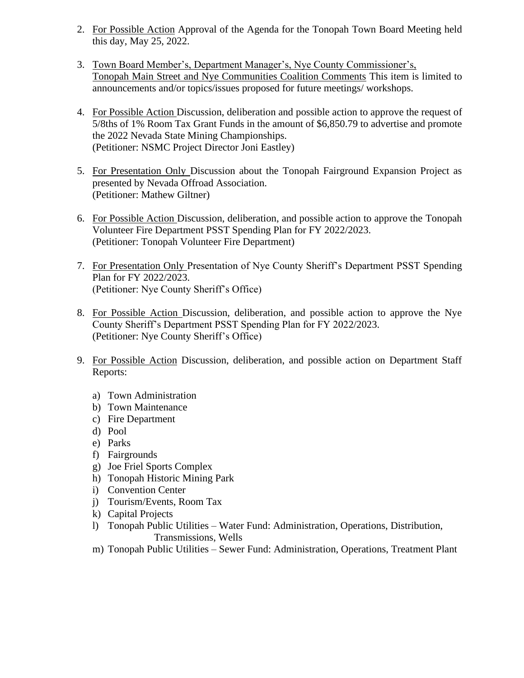- 2. For Possible Action Approval of the Agenda for the Tonopah Town Board Meeting held this day, May 25, 2022.
- 3. Town Board Member's, Department Manager's, Nye County Commissioner's, Tonopah Main Street and Nye Communities Coalition Comments This item is limited to announcements and/or topics/issues proposed for future meetings/ workshops.
- 4. For Possible Action Discussion, deliberation and possible action to approve the request of 5/8ths of 1% Room Tax Grant Funds in the amount of \$6,850.79 to advertise and promote the 2022 Nevada State Mining Championships. (Petitioner: NSMC Project Director Joni Eastley)
- 5. For Presentation Only Discussion about the Tonopah Fairground Expansion Project as presented by Nevada Offroad Association. (Petitioner: Mathew Giltner)
- 6. For Possible Action Discussion, deliberation, and possible action to approve the Tonopah Volunteer Fire Department PSST Spending Plan for FY 2022/2023. (Petitioner: Tonopah Volunteer Fire Department)
- 7. For Presentation Only Presentation of Nye County Sheriff's Department PSST Spending Plan for FY 2022/2023. (Petitioner: Nye County Sheriff's Office)
- 8. For Possible Action Discussion, deliberation, and possible action to approve the Nye County Sheriff's Department PSST Spending Plan for FY 2022/2023. (Petitioner: Nye County Sheriff's Office)
- 9. For Possible Action Discussion, deliberation, and possible action on Department Staff Reports:
	- a) Town Administration
	- b) Town Maintenance
	- c) Fire Department
	- d) Pool
	- e) Parks
	- f) Fairgrounds
	- g) Joe Friel Sports Complex
	- h) Tonopah Historic Mining Park
	- i) Convention Center
	- j) Tourism/Events, Room Tax
	- k) Capital Projects
	- l) Tonopah Public Utilities Water Fund: Administration, Operations, Distribution, Transmissions, Wells
	- m) Tonopah Public Utilities Sewer Fund: Administration, Operations, Treatment Plant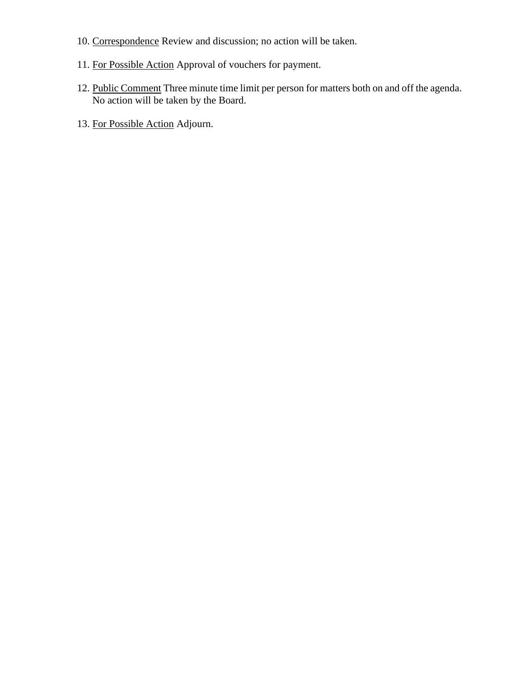- 10. Correspondence Review and discussion; no action will be taken.
- 11. For Possible Action Approval of vouchers for payment.
- 12. Public Comment Three minute time limit per person for matters both on and off the agenda. No action will be taken by the Board.
- 13. For Possible Action Adjourn.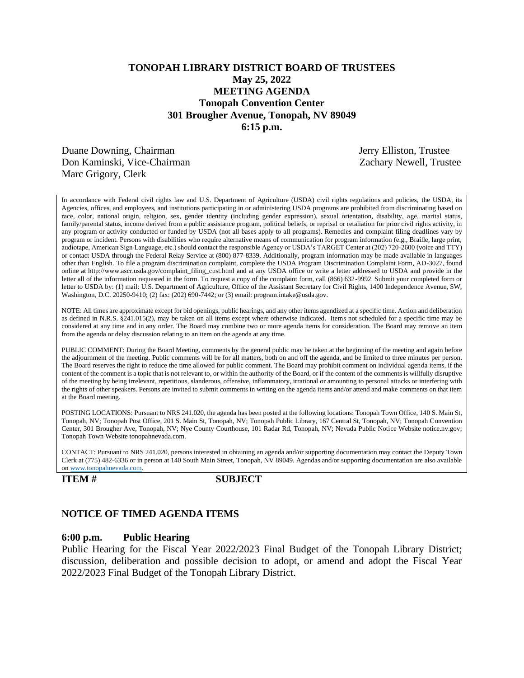# **TONOPAH LIBRARY DISTRICT BOARD OF TRUSTEES May 25, 2022 MEETING AGENDA Tonopah Convention Center 301 Brougher Avenue, Tonopah, NV 89049 6:15 p.m.**

Duane Downing, Chairman Jerry Elliston, Trustee Don Kaminski, Vice-Chairman Zachary Newell, Trustee Marc Grigory, Clerk

In accordance with Federal civil rights law and U.S. Department of Agriculture (USDA) civil rights regulations and policies, the USDA, its Agencies, offices, and employees, and institutions participating in or administering USDA programs are prohibited from discriminating based on race, color, national origin, religion, sex, gender identity (including gender expression), sexual orientation, disability, age, marital status, family/parental status, income derived from a public assistance program, political beliefs, or reprisal or retaliation for prior civil rights activity, in any program or activity conducted or funded by USDA (not all bases apply to all programs). Remedies and complaint filing deadlines vary by program or incident. Persons with disabilities who require alternative means of communication for program information (e.g., Braille, large print, audiotape, American Sign Language, etc.) should contact the responsible Agency or USDA's TARGET Center at (202) 720-2600 (voice and TTY) or contact USDA through the Federal Relay Service at (800) 877-8339. Additionally, program information may be made available in languages other than English. To file a program discrimination complaint, complete the USDA Program Discrimination Complaint Form, AD-3027, found online at http://www.ascr.usda.gov/complaint\_filing\_cust.html and at any USDA office or write a letter addressed to USDA and provide in the letter all of the information requested in the form. To request a copy of the complaint form, call (866) 632-9992. Submit your completed form or letter to USDA by: (1) mail: U.S. Department of Agriculture, Office of the Assistant Secretary for Civil Rights, 1400 Independence Avenue, SW, Washington, D.C. 20250-9410; (2) fax: (202) 690-7442; or (3) email: program.intake@usda.gov.

NOTE: All times are approximate except for bid openings, public hearings, and any other items agendized at a specific time. Action and deliberation as defined in N.R.S. §241.015(2), may be taken on all items except where otherwise indicated. Items not scheduled for a specific time may be considered at any time and in any order. The Board may combine two or more agenda items for consideration. The Board may remove an item from the agenda or delay discussion relating to an item on the agenda at any time.

PUBLIC COMMENT: During the Board Meeting, comments by the general public may be taken at the beginning of the meeting and again before the adjournment of the meeting. Public comments will be for all matters, both on and off the agenda, and be limited to three minutes per person. The Board reserves the right to reduce the time allowed for public comment. The Board may prohibit comment on individual agenda items, if the content of the comment is a topic that is not relevant to, or within the authority of the Board, or if the content of the comments is willfully disruptive of the meeting by being irrelevant, repetitious, slanderous, offensive, inflammatory, irrational or amounting to personal attacks or interfering with the rights of other speakers. Persons are invited to submit comments in writing on the agenda items and/or attend and make comments on that item at the Board meeting.

POSTING LOCATIONS: Pursuant to NRS 241.020, the agenda has been posted at the following locations: Tonopah Town Office, 140 S. Main St, Tonopah, NV; Tonopah Post Office, 201 S. Main St, Tonopah, NV; Tonopah Public Library, 167 Central St, Tonopah, NV; Tonopah Convention Center, 301 Brougher Ave, Tonopah, NV; Nye County Courthouse, 101 Radar Rd, Tonopah, NV; Nevada Public Notice Website notice.nv.gov; Tonopah Town Website tonopahnevada.com.

CONTACT: Pursuant to NRS 241.020, persons interested in obtaining an agenda and/or supporting documentation may contact the Deputy Town Clerk at (775) 482-6336 or in person at 140 South Main Street, Tonopah, NV 89049. Agendas and/or supporting documentation are also available o[n www.tonopahnevada.com.](http://www.tonopahnevada.com/)

**ITEM # SUBJECT**

## **NOTICE OF TIMED AGENDA ITEMS**

### **6:00 p.m. Public Hearing**

Public Hearing for the Fiscal Year 2022/2023 Final Budget of the Tonopah Library District; discussion, deliberation and possible decision to adopt, or amend and adopt the Fiscal Year 2022/2023 Final Budget of the Tonopah Library District.